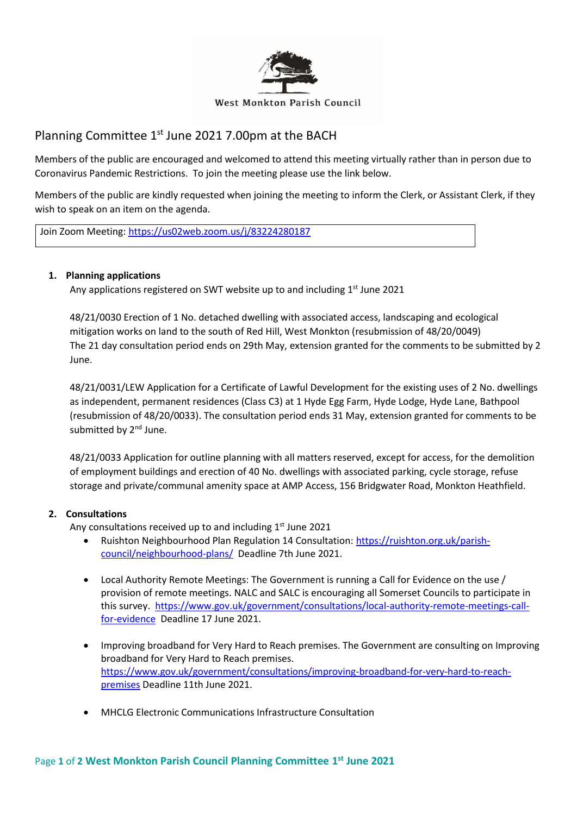

## Planning Committee 1<sup>st</sup> June 2021 7.00pm at the BACH

Members of the public are encouraged and welcomed to attend this meeting virtually rather than in person due to Coronavirus Pandemic Restrictions. To join the meeting please use the link below.

Members of the public are kindly requested when joining the meeting to inform the Clerk, or Assistant Clerk, if they wish to speak on an item on the agenda.

Join Zoom Meeting[: https://us02web.zoom.us/j/83224280187](https://us02web.zoom.us/j/83224280187)

## **1. Planning applications**

Any applications registered on SWT website up to and including 1<sup>st</sup> June 2021

48/21/0030 Erection of 1 No. detached dwelling with associated access, landscaping and ecological mitigation works on land to the south of Red Hill, West Monkton (resubmission of 48/20/0049) The 21 day consultation period ends on 29th May, extension granted for the comments to be submitted by 2 June.

48/21/0031/LEW Application for a Certificate of Lawful Development for the existing uses of 2 No. dwellings as independent, permanent residences (Class C3) at 1 Hyde Egg Farm, Hyde Lodge, Hyde Lane, Bathpool (resubmission of 48/20/0033). The consultation period ends 31 May, extension granted for comments to be submitted by 2<sup>nd</sup> June.

48/21/0033 Application for outline planning with all matters reserved, except for access, for the demolition of employment buildings and erection of 40 No. dwellings with associated parking, cycle storage, refuse storage and private/communal amenity space at AMP Access, 156 Bridgwater Road, Monkton Heathfield.

## **2. Consultations**

Any consultations received up to and including 1<sup>st</sup> June 2021

- Ruishton Neighbourhood Plan Regulation 14 Consultation: [https://ruishton.org.uk/parish](https://ruishton.org.uk/parish-council/neighbourhood-plans/)[council/neighbourhood-plans/](https://ruishton.org.uk/parish-council/neighbourhood-plans/) Deadline 7th June 2021.
- Local Authority Remote Meetings: The Government is running a Call for Evidence on the use / provision of remote meetings. NALC and SALC is encouraging all Somerset Councils to participate in this survey. [https://www.gov.uk/government/consultations/local-authority-remote-meetings-call](https://www.gov.uk/government/consultations/local-authority-remote-meetings-call-for-evidence)[for-evidence](https://www.gov.uk/government/consultations/local-authority-remote-meetings-call-for-evidence) Deadline 17 June 2021.
- Improving broadband for Very Hard to Reach premises. The Government are consulting on Improving broadband for Very Hard to Reach premises. [https://www.gov.uk/government/consultations/improving-broadband-for-very-hard-to-reach](https://www.gov.uk/government/consultations/improving-broadband-for-very-hard-to-reach-premises)[premises](https://www.gov.uk/government/consultations/improving-broadband-for-very-hard-to-reach-premises) Deadline 11th June 2021.
- MHCLG Electronic Communications Infrastructure Consultation